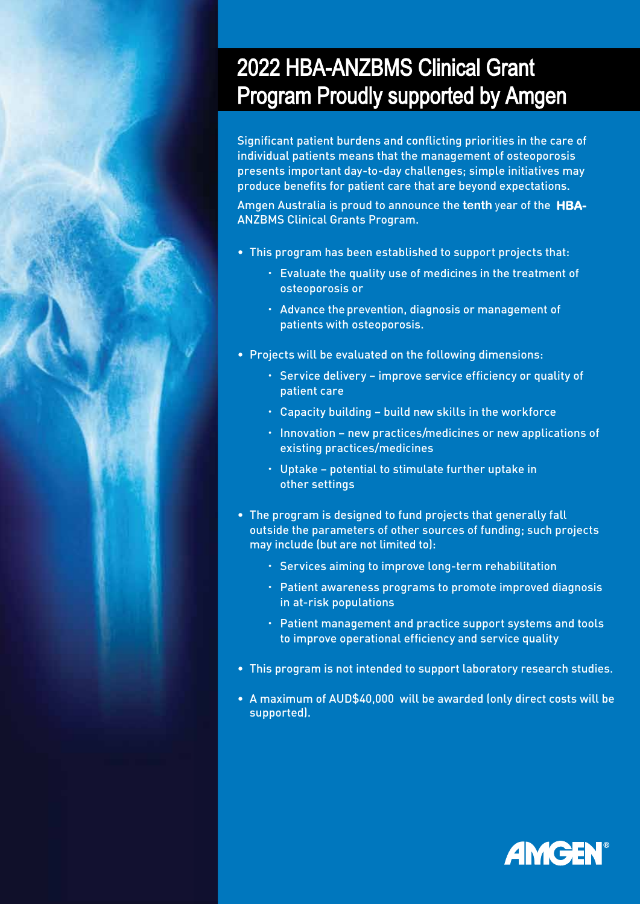## 2022 HBA-ANZBMS Clinical Grant Program Proudly supported by Amgen

Significant patient burdens and conflicting priorities in the care of individual patients means that the management of osteoporosis presents important day-to-day challenges; simple initiatives may produce benefits for patient care that are beyond expectations.

Amgen Australia is proud to announce the **tenth** year of the **HBA-**ANZBMS Clinical Grants Program.

- This program has been established to support projects that:
	- Evaluate the quality use of medicines in the treatment of osteoporosis or
	- Advance the prevention, diagnosis or management of patients with osteoporosis.
- Projects will be evaluated on the following dimensions:
	- Service delivery improve service efficiency or quality of patient care
	- Capacity building build new skills in the workforce
	- $\cdot$  Innovation new practices/medicines or new applications of existing practices/medicines
	- Uptake potential to stimulate further uptake in other settings
- The program is designed to fund projects that generally fall outside the parameters of other sources of funding; such projects may include (but are not limited to):
	- Services aiming to improve long-term rehabilitation
	- Patient awareness programs to promote improved diagnosis in at-risk populations
	- Patient management and practice support systems and tools to improve operational efficiency and service quality
- This program is not intended to support laboratory research studies.
- A maximum of AUD\$40,000 will be awarded (only direct costs will be supported).